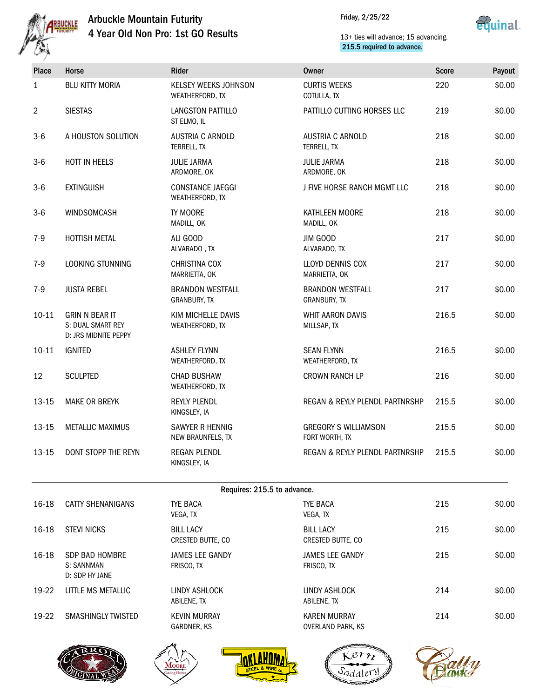

# Arbuckle Mountain Futurity 4 Year Old Non Pro: 1st GO Results

Friday, 2/25/22



## 13+ ties will advance; 15 advancing. 215.5 required to advance.

| Place          | Horse                                                              | <b>Rider</b>                               | <b>Owner</b>                                  | <b>Score</b> | Payout |
|----------------|--------------------------------------------------------------------|--------------------------------------------|-----------------------------------------------|--------------|--------|
| 1              | <b>BLU KITTY MORIA</b>                                             | KELSEY WEEKS JOHNSON<br>WEATHERFORD, TX    | <b>CURTIS WEEKS</b><br>COTULLA, TX            | 220          | \$0.00 |
| $\overline{2}$ | <b>SIESTAS</b>                                                     | LANGSTON PATTILLO<br>ST ELMO, IL           | PATTILLO CUTTING HORSES LLC                   | 219          | \$0.00 |
| $3-6$          | A HOUSTON SOLUTION                                                 | <b>AUSTRIA C ARNOLD</b><br>TERRELL, TX     | <b>AUSTRIA C ARNOLD</b><br>TERRELL, TX        | 218          | \$0.00 |
| $3-6$          | HOTT IN HEELS                                                      | <b>JULIE JARMA</b><br>ARDMORE, OK          | <b>JULIE JARMA</b><br>ARDMORE, OK             | 218          | \$0.00 |
| $3-6$          | <b>EXTINGUISH</b>                                                  | <b>CONSTANCE JAEGGI</b><br>WEATHERFORD, TX | J FIVE HORSE RANCH MGMT LLC                   | 218          | \$0.00 |
| $3-6$          | WINDSOMCASH                                                        | TY MOORE<br>MADILL, OK                     | KATHLEEN MOORE<br>MADILL, OK                  | 218          | \$0.00 |
| $7-9$          | HOTTISH METAL                                                      | ALI GOOD<br>ALVARADO, TX                   | JIM GOOD<br>ALVARADO, TX                      | 217          | \$0.00 |
| $7-9$          | LOOKING STUNNING                                                   | <b>CHRISTINA COX</b><br>MARRIETTA, OK      | <b>LLOYD DENNIS COX</b><br>MARRIETTA, OK      | 217          | \$0.00 |
| $7-9$          | <b>JUSTA REBEL</b>                                                 | <b>BRANDON WESTFALL</b><br>GRANBURY, TX    | <b>BRANDON WESTFALL</b><br>GRANBURY, TX       | 217          | \$0.00 |
| $10 - 11$      | <b>GRIN N BEAR IT</b><br>S: DUAL SMART REY<br>D: JRS MIDNITE PEPPY | KIM MICHELLE DAVIS<br>WEATHERFORD, TX      | WHIT AARON DAVIS<br>MILLSAP, TX               | 216.5        | \$0.00 |
| $10 - 11$      | <b>IGNITED</b>                                                     | <b>ASHLEY FLYNN</b><br>WEATHERFORD, TX     | <b>SEAN FLYNN</b><br>WEATHERFORD, TX          | 216.5        | \$0.00 |
| 12             | <b>SCULPTED</b>                                                    | <b>CHAD BUSHAW</b><br>WEATHERFORD, TX      | <b>CROWN RANCH LP</b>                         | 216          | \$0.00 |
| $13 - 15$      | <b>MAKE OR BREYK</b>                                               | <b>REYLY PLENDL</b><br>KINGSLEY, IA        | REGAN & REYLY PLENDL PARTNRSHP                | 215.5        | \$0.00 |
| $13 - 15$      | <b>METALLIC MAXIMUS</b>                                            | SAWYER R HENNIG<br>NEW BRAUNFELS, TX       | <b>GREGORY S WILLIAMSON</b><br>FORT WORTH, TX | 215.5        | \$0.00 |
| $13 - 15$      | DONT STOPP THE REYN                                                | <b>REGAN PLENDL</b><br>KINGSLEY, IA        | <b>REGAN &amp; REYLY PLENDL PARTNRSHP</b>     | 215.5        | \$0.00 |

| Requires: 215.5 to advance. |                                                       |                                       |                                                 |     |        |  |
|-----------------------------|-------------------------------------------------------|---------------------------------------|-------------------------------------------------|-----|--------|--|
| 16-18                       | <b>CATTY SHENANIGANS</b>                              | TYE BACA<br>VEGA, TX                  | <b>TYE BACA</b><br>VEGA, TX                     | 215 | \$0.00 |  |
| $16 - 18$                   | <b>STEVI NICKS</b>                                    | <b>BILL LACY</b><br>CRESTED BUTTE, CO | <b>BILL LACY</b><br>CRESTED BUTTE, CO           | 215 | \$0.00 |  |
| $16-18$                     | <b>SDP BAD HOMBRE</b><br>S: SANNMAN<br>D: SDP HY JANE | <b>JAMES LEE GANDY</b><br>FRISCO, TX  | <b>JAMES LEE GANDY</b><br>FRISCO, TX            | 215 | \$0.00 |  |
| 19-22                       | LITTLE MS METALLIC                                    | LINDY ASHLOCK<br>ABILENE, TX          | LINDY ASHLOCK<br>ABILENE, TX                    | 214 | \$0.00 |  |
| 19-22                       | <b>SMASHINGLY TWISTED</b>                             | <b>KEVIN MURRAY</b><br>GARDNER, KS    | <b>KAREN MURRAY</b><br><b>OVERLAND PARK, KS</b> | 214 | \$0.00 |  |









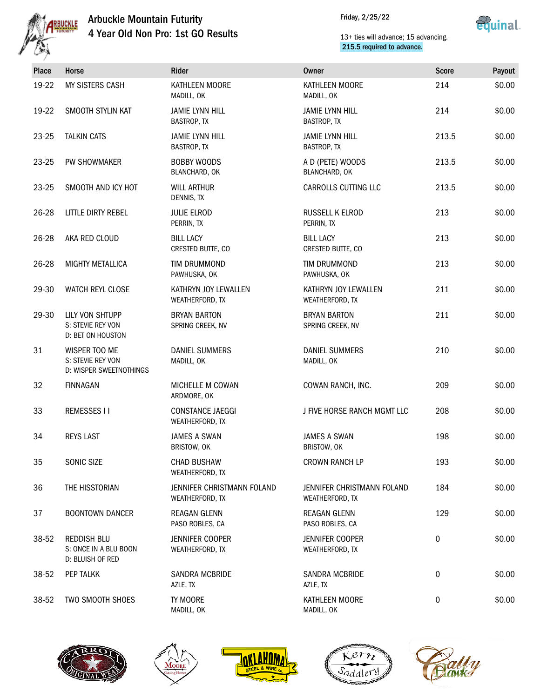

# Arbuckle Mountain Futurity 4 Year Old Non Pro: 1st GO Results

Friday, 2/25/22



## 13+ ties will advance; 15 advancing. 215.5 required to advance.

| <b>Place</b> | Horse                                                           | Rider                                         | <b>Owner</b>                                  | <b>Score</b> | Payout |
|--------------|-----------------------------------------------------------------|-----------------------------------------------|-----------------------------------------------|--------------|--------|
| 19-22        | MY SISTERS CASH                                                 | KATHLEEN MOORE<br>MADILL, OK                  | KATHLEEN MOORE<br>MADILL, OK                  | 214          | \$0.00 |
| 19-22        | SMOOTH STYLIN KAT                                               | <b>JAMIE LYNN HILL</b><br>BASTROP, TX         | <b>JAMIE LYNN HILL</b><br>BASTROP, TX         | 214          | \$0.00 |
| 23-25        | <b>TALKIN CATS</b>                                              | <b>JAMIE LYNN HILL</b><br>BASTROP, TX         | <b>JAMIE LYNN HILL</b><br><b>BASTROP, TX</b>  | 213.5        | \$0.00 |
| 23-25        | PW SHOWMAKER                                                    | <b>BOBBY WOODS</b><br>BLANCHARD, OK           | A D (PETE) WOODS<br>BLANCHARD, OK             | 213.5        | \$0.00 |
| 23-25        | SMOOTH AND ICY HOT                                              | <b>WILL ARTHUR</b><br>DENNIS, TX              | CARROLLS CUTTING LLC                          | 213.5        | \$0.00 |
| 26-28        | LITTLE DIRTY REBEL                                              | <b>JULIE ELROD</b><br>PERRIN, TX              | RUSSELL K ELROD<br>PERRIN, TX                 | 213          | \$0.00 |
| 26-28        | AKA RED CLOUD                                                   | <b>BILL LACY</b><br>CRESTED BUTTE, CO         | <b>BILL LACY</b><br>CRESTED BUTTE, CO         | 213          | \$0.00 |
| 26-28        | <b>MIGHTY METALLICA</b>                                         | TIM DRUMMOND<br>PAWHUSKA, OK                  | <b>TIM DRUMMOND</b><br>PAWHUSKA, OK           | 213          | \$0.00 |
| 29-30        | WATCH REYL CLOSE                                                | KATHRYN JOY LEWALLEN<br>WEATHERFORD, TX       | KATHRYN JOY LEWALLEN<br>WEATHERFORD, TX       | 211          | \$0.00 |
| 29-30        | LILY VON SHTUPP<br>S: STEVIE REY VON<br>D: BET ON HOUSTON       | <b>BRYAN BARTON</b><br>SPRING CREEK, NV       | <b>BRYAN BARTON</b><br>SPRING CREEK, NV       | 211          | \$0.00 |
| 31           | WISPER TOO ME<br>S: STEVIE REY VON<br>D: WISPER SWEETNOTHINGS   | <b>DANIEL SUMMERS</b><br>MADILL, OK           | <b>DANIEL SUMMERS</b><br>MADILL, OK           | 210          | \$0.00 |
| 32           | <b>FINNAGAN</b>                                                 | MICHELLE M COWAN<br>ARDMORE, OK               | COWAN RANCH, INC.                             | 209          | \$0.00 |
| 33           | <b>REMESSES II</b>                                              | <b>CONSTANCE JAEGGI</b><br>WEATHERFORD, TX    | J FIVE HORSE RANCH MGMT LLC                   | 208          | \$0.00 |
| 34           | <b>REYS LAST</b>                                                | <b>JAMES A SWAN</b><br>BRISTOW, OK            | <b>JAMES A SWAN</b><br>BRISTOW, OK            | 198          | \$0.00 |
| 35           | SONIC SIZE                                                      | <b>CHAD BUSHAW</b><br>WEATHERFORD, TX         | <b>CROWN RANCH LP</b>                         | 193          | \$0.00 |
| 36           | THE HISSTORIAN                                                  | JENNIFER CHRISTMANN FOLAND<br>WEATHERFORD, TX | JENNIFER CHRISTMANN FOLAND<br>WEATHERFORD, TX | 184          | \$0.00 |
| 37           | <b>BOONTOWN DANCER</b>                                          | <b>REAGAN GLENN</b><br>PASO ROBLES, CA        | REAGAN GLENN<br>PASO ROBLES, CA               | 129          | \$0.00 |
| 38-52        | <b>REDDISH BLU</b><br>S: ONCE IN A BLU BOON<br>D: BLUISH OF RED | <b>JENNIFER COOPER</b><br>WEATHERFORD, TX     | JENNIFER COOPER<br>WEATHERFORD, TX            | 0            | \$0.00 |
| 38-52        | PEP TALKK                                                       | SANDRA MCBRIDE<br>AZLE, TX                    | SANDRA MCBRIDE<br>AZLE, TX                    | 0            | \$0.00 |
| 38-52        | TWO SMOOTH SHOES                                                | TY MOORE<br>MADILL, OK                        | KATHLEEN MOORE<br>MADILL, OK                  | 0            | \$0.00 |